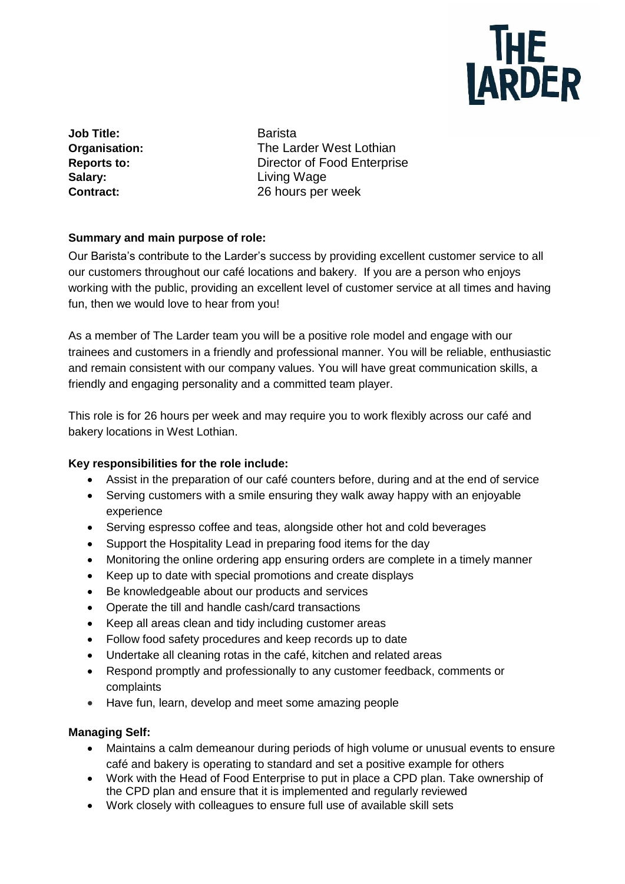

**Job Title:** Barista **Salary:** Living Wage

**Organisation:** The Larder West Lothian **Reports to:** Director of Food Enterprise **Contract:** 26 hours per week

### **Summary and main purpose of role:**

Our Barista's contribute to the Larder's success by providing excellent customer service to all our customers throughout our café locations and bakery. If you are a person who enjoys working with the public, providing an excellent level of customer service at all times and having fun, then we would love to hear from you!

As a member of The Larder team you will be a positive role model and engage with our trainees and customers in a friendly and professional manner. You will be reliable, enthusiastic and remain consistent with our company values. You will have great communication skills, a friendly and engaging personality and a committed team player.

This role is for 26 hours per week and may require you to work flexibly across our café and bakery locations in West Lothian.

## **Key responsibilities for the role include:**

- Assist in the preparation of our café counters before, during and at the end of service
- Serving customers with a smile ensuring they walk away happy with an enjoyable experience
- Serving espresso coffee and teas, alongside other hot and cold beverages
- Support the Hospitality Lead in preparing food items for the day
- Monitoring the online ordering app ensuring orders are complete in a timely manner
- Keep up to date with special promotions and create displays
- Be knowledgeable about our products and services
- Operate the till and handle cash/card transactions
- Keep all areas clean and tidy including customer areas
- Follow food safety procedures and keep records up to date
- Undertake all cleaning rotas in the café, kitchen and related areas
- Respond promptly and professionally to any customer feedback, comments or complaints
- Have fun, learn, develop and meet some amazing people

## **Managing Self:**

- Maintains a calm demeanour during periods of high volume or unusual events to ensure café and bakery is operating to standard and set a positive example for others
- Work with the Head of Food Enterprise to put in place a CPD plan. Take ownership of the CPD plan and ensure that it is implemented and regularly reviewed
- Work closely with colleagues to ensure full use of available skill sets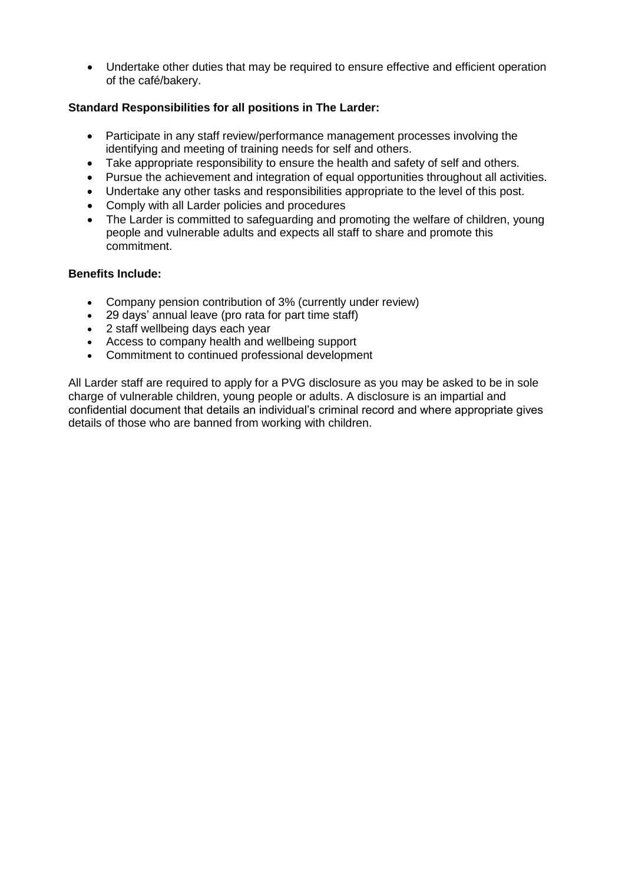• Undertake other duties that may be required to ensure effective and efficient operation of the café/bakery.

### **Standard Responsibilities for all positions in The Larder:**

- Participate in any staff review/performance management processes involving the identifying and meeting of training needs for self and others.
- Take appropriate responsibility to ensure the health and safety of self and others.
- Pursue the achievement and integration of equal opportunities throughout all activities.
- Undertake any other tasks and responsibilities appropriate to the level of this post.
- Comply with all Larder policies and procedures
- The Larder is committed to safeguarding and promoting the welfare of children, young people and vulnerable adults and expects all staff to share and promote this commitment.

#### **Benefits Include:**

- Company pension contribution of 3% (currently under review)
- 29 days' annual leave (pro rata for part time staff)
- 2 staff wellbeing days each year
- Access to company health and wellbeing support
- Commitment to continued professional development

All Larder staff are required to apply for a PVG disclosure as you may be asked to be in sole charge of vulnerable children, young people or adults. A disclosure is an impartial and confidential document that details an individual's criminal record and where appropriate gives details of those who are banned from working with children.